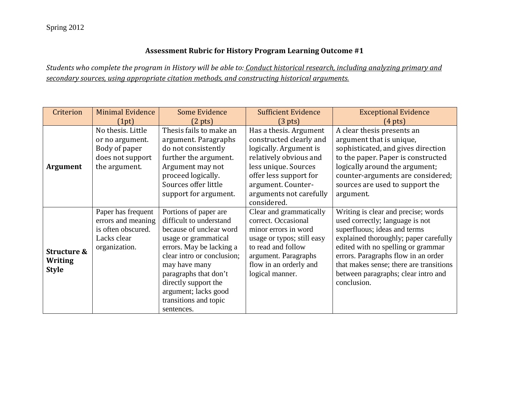## **Assessment Rubric for History Program Learning Outcome #1**

*Students who complete the program in History will be able to: Conduct historical research, including analyzing primary and secondary sources, using appropriate citation methods, and constructing historical arguments.*

| Criterion                                     | <b>Minimal Evidence</b>                                                                        | <b>Some Evidence</b>                                                                                                                                                                                                                                                                           | <b>Sufficient Evidence</b>                                                                                                                                                                                              | <b>Exceptional Evidence</b>                                                                                                                                                                                                                                                                                                   |
|-----------------------------------------------|------------------------------------------------------------------------------------------------|------------------------------------------------------------------------------------------------------------------------------------------------------------------------------------------------------------------------------------------------------------------------------------------------|-------------------------------------------------------------------------------------------------------------------------------------------------------------------------------------------------------------------------|-------------------------------------------------------------------------------------------------------------------------------------------------------------------------------------------------------------------------------------------------------------------------------------------------------------------------------|
|                                               | (1pt)                                                                                          | $(2 \text{ pts})$                                                                                                                                                                                                                                                                              | $(3 \text{ pts})$                                                                                                                                                                                                       | $(4 \text{ pts})$                                                                                                                                                                                                                                                                                                             |
| <b>Argument</b>                               | No thesis. Little<br>or no argument.<br>Body of paper<br>does not support<br>the argument.     | Thesis fails to make an<br>argument. Paragraphs<br>do not consistently<br>further the argument.<br>Argument may not<br>proceed logically.<br>Sources offer little<br>support for argument.                                                                                                     | Has a thesis. Argument<br>constructed clearly and<br>logically. Argument is<br>relatively obvious and<br>less unique. Sources<br>offer less support for<br>argument. Counter-<br>arguments not carefully<br>considered. | A clear thesis presents an<br>argument that is unique,<br>sophisticated, and gives direction<br>to the paper. Paper is constructed<br>logically around the argument;<br>counter-arguments are considered;<br>sources are used to support the<br>argument.                                                                     |
| Structure &<br><b>Writing</b><br><b>Style</b> | Paper has frequent<br>errors and meaning<br>is often obscured.<br>Lacks clear<br>organization. | Portions of paper are<br>difficult to understand<br>because of unclear word<br>usage or grammatical<br>errors. May be lacking a<br>clear intro or conclusion;<br>may have many<br>paragraphs that don't<br>directly support the<br>argument; lacks good<br>transitions and topic<br>sentences. | Clear and grammatically<br>correct. Occasional<br>minor errors in word<br>usage or typos; still easy<br>to read and follow<br>argument. Paragraphs<br>flow in an orderly and<br>logical manner.                         | Writing is clear and precise; words<br>used correctly; language is not<br>superfluous; ideas and terms<br>explained thoroughly; paper carefully<br>edited with no spelling or grammar<br>errors. Paragraphs flow in an order<br>that makes sense; there are transitions<br>between paragraphs; clear intro and<br>conclusion. |